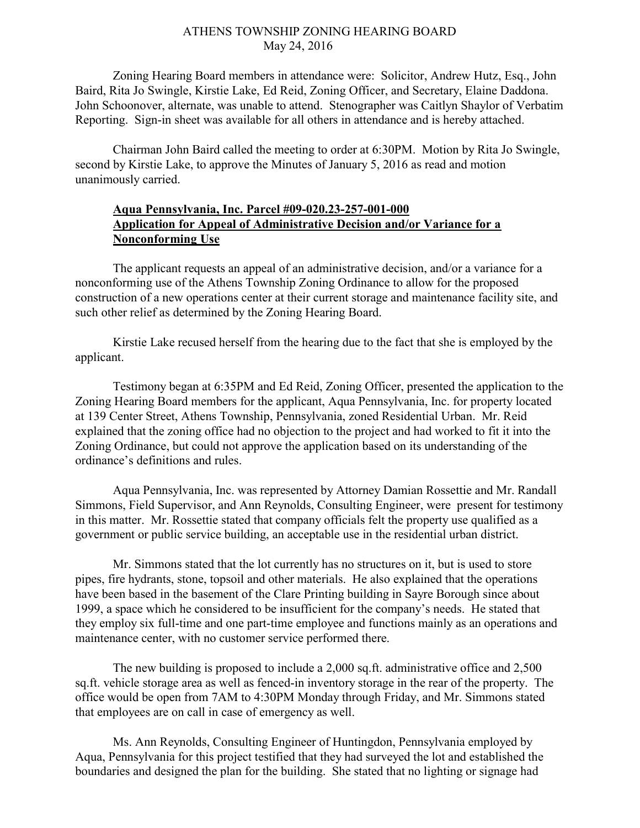## ATHENS TOWNSHIP ZONING HEARING BOARD May 24, 2016

Zoning Hearing Board members in attendance were: Solicitor, Andrew Hutz, Esq., John Baird, Rita Jo Swingle, Kirstie Lake, Ed Reid, Zoning Officer, and Secretary, Elaine Daddona. John Schoonover, alternate, was unable to attend. Stenographer was Caitlyn Shaylor of Verbatim Reporting. Sign-in sheet was available for all others in attendance and is hereby attached.

Chairman John Baird called the meeting to order at 6:30PM. Motion by Rita Jo Swingle, second by Kirstie Lake, to approve the Minutes of January 5, 2016 as read and motion unanimously carried.

## Aqua Pennsylvania, Inc. Parcel #09-020.23-257-001-000 Application for Appeal of Administrative Decision and/or Variance for a Nonconforming Use

 The applicant requests an appeal of an administrative decision, and/or a variance for a nonconforming use of the Athens Township Zoning Ordinance to allow for the proposed construction of a new operations center at their current storage and maintenance facility site, and such other relief as determined by the Zoning Hearing Board.

 Kirstie Lake recused herself from the hearing due to the fact that she is employed by the applicant.

Testimony began at 6:35PM and Ed Reid, Zoning Officer, presented the application to the Zoning Hearing Board members for the applicant, Aqua Pennsylvania, Inc. for property located at 139 Center Street, Athens Township, Pennsylvania, zoned Residential Urban. Mr. Reid explained that the zoning office had no objection to the project and had worked to fit it into the Zoning Ordinance, but could not approve the application based on its understanding of the ordinance's definitions and rules.

Aqua Pennsylvania, Inc. was represented by Attorney Damian Rossettie and Mr. Randall Simmons, Field Supervisor, and Ann Reynolds, Consulting Engineer, were present for testimony in this matter. Mr. Rossettie stated that company officials felt the property use qualified as a government or public service building, an acceptable use in the residential urban district.

Mr. Simmons stated that the lot currently has no structures on it, but is used to store pipes, fire hydrants, stone, topsoil and other materials. He also explained that the operations have been based in the basement of the Clare Printing building in Sayre Borough since about 1999, a space which he considered to be insufficient for the company's needs. He stated that they employ six full-time and one part-time employee and functions mainly as an operations and maintenance center, with no customer service performed there.

The new building is proposed to include a 2,000 sq.ft. administrative office and 2,500 sq.ft. vehicle storage area as well as fenced-in inventory storage in the rear of the property. The office would be open from 7AM to 4:30PM Monday through Friday, and Mr. Simmons stated that employees are on call in case of emergency as well.

Ms. Ann Reynolds, Consulting Engineer of Huntingdon, Pennsylvania employed by Aqua, Pennsylvania for this project testified that they had surveyed the lot and established the boundaries and designed the plan for the building. She stated that no lighting or signage had